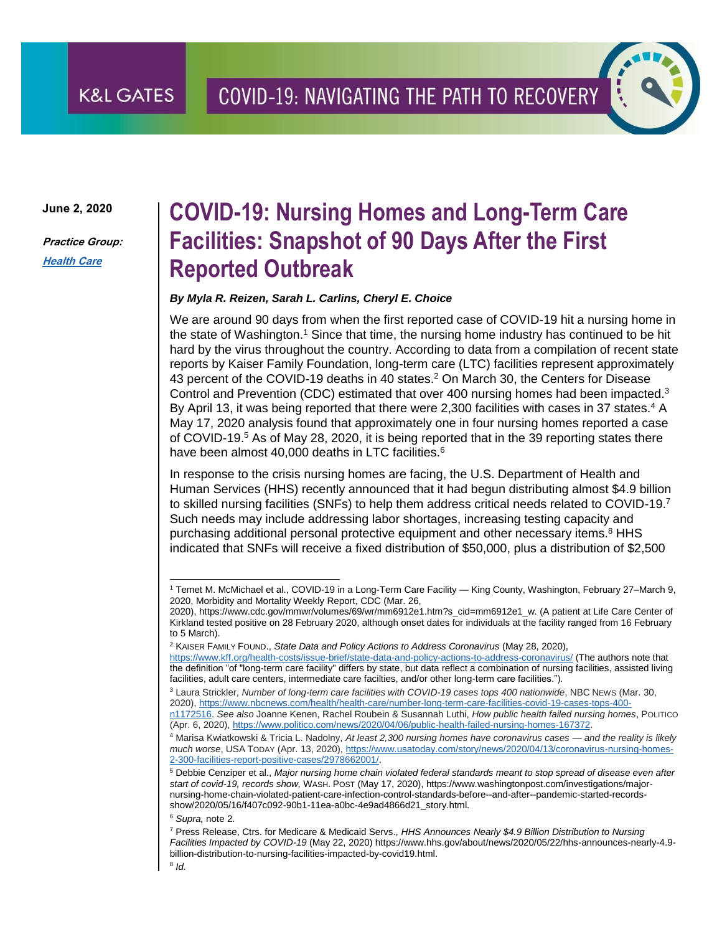**June 2, 2020**

**K&L GATES** 

**Practice Group: [Health Care](http://www.klgates.com/health-care-practices/)**

# **COVID-19: Nursing Homes and Long-Term Care Facilities: Snapshot of 90 Days After the First Reported Outbreak**

#### *By Myla R. Reizen, Sarah L. Carlins, Cheryl E. Choice*

We are around 90 days from when the first reported case of COVID-19 hit a nursing home in the state of Washington.<sup>1</sup> Since that time, the nursing home industry has continued to be hit hard by the virus throughout the country. According to data from a compilation of recent state reports by Kaiser Family Foundation, long-term care (LTC) facilities represent approximately 43 percent of the COVID-19 deaths in 40 states.<sup>2</sup> On March 30, the Centers for Disease Control and Prevention (CDC) estimated that over 400 nursing homes had been impacted.<sup>3</sup> By April 13, it was being reported that there were 2,300 facilities with cases in 37 states.<sup>4</sup> A May 17, 2020 analysis found that approximately one in four nursing homes reported a case of COVID-19.<sup>5</sup> As of May 28, 2020, it is being reported that in the 39 reporting states there have been almost 40,000 deaths in LTC facilities.<sup>6</sup>

In response to the crisis nursing homes are facing, the U.S. Department of Health and Human Services (HHS) recently announced that it had begun distributing almost \$4.9 billion to skilled nursing facilities (SNFs) to help them address critical needs related to COVID-19.7 Such needs may include addressing labor shortages, increasing testing capacity and purchasing additional personal protective equipment and other necessary items.<sup>8</sup> HHS indicated that SNFs will receive a fixed distribution of \$50,000, plus a distribution of \$2,500

<sup>6</sup> *Supra,* note 2.

l <sup>1</sup> Temet M. McMichael et al., COVID-19 in a Long-Term Care Facility — King County, Washington, February 27–March 9, 2020, Morbidity and Mortality Weekly Report, CDC (Mar. 26,

<sup>2020),</sup> https://www.cdc.gov/mmwr/volumes/69/wr/mm6912e1.htm?s\_cid=mm6912e1\_w. (A patient at Life Care Center of Kirkland tested positive on 28 February 2020, although onset dates for individuals at the facility ranged from 16 February to 5 March).

<sup>2</sup> KAISER FAMILY FOUND., *State Data and Policy Actions to Address Coronavirus* (May 28, 2020),

<https://www.kff.org/health-costs/issue-brief/state-data-and-policy-actions-to-address-coronavirus/> (The authors note that the definition "of "long-term care facility" differs by state, but data reflect a combination of nursing facilities, assisted living facilities, adult care centers, intermediate care facilties, and/or other long-term care facilities.").

<sup>3</sup> Laura Strickler, *Number of long-term care facilities with COVID-19 cases tops 400 nationwide*, NBC NEWS (Mar. 30, 2020), [https://www.nbcnews.com/health/health-care/number-long-term-care-facilities-covid-19-cases-tops-400](https://www.nbcnews.com/health/health-care/number-long-term-care-facilities-covid-19-cases-tops-400-n1172516) [n1172516.](https://www.nbcnews.com/health/health-care/number-long-term-care-facilities-covid-19-cases-tops-400-n1172516) *See also* Joanne Kenen, Rachel Roubein & Susannah Luthi, *How public health failed nursing homes*, POLITICO (Apr. 6, 2020), [https://www.politico.com/news/2020/04/06/public-health-failed-nursing-homes-167372.](https://www.politico.com/news/2020/04/06/public-health-failed-nursing-homes-167372)

<sup>4</sup> Marisa Kwiatkowski & Tricia L. Nadolny, *At least 2,300 nursing homes have coronavirus cases — and the reality is likely much worse*, USA TODAY (Apr. 13, 2020), [https://www.usatoday.com/story/news/2020/04/13/coronavirus-nursing-homes-](https://www.usatoday.com/story/news/2020/04/13/coronavirus-nursing-homes-2-300-facilities-report-positive-cases/2978662001/)[2-300-facilities-report-positive-cases/2978662001/.](https://www.usatoday.com/story/news/2020/04/13/coronavirus-nursing-homes-2-300-facilities-report-positive-cases/2978662001/)

<sup>5</sup> Debbie Cenziper et al., *Major nursing home chain violated federal standards meant to stop spread of disease even after start of covid-19, records show,* WASH. POST (May 17, 2020), https://www.washingtonpost.com/investigations/majornursing-home-chain-violated-patient-care-infection-control-standards-before--and-after--pandemic-started-recordsshow/2020/05/16/f407c092-90b1-11ea-a0bc-4e9ad4866d21\_story.html.

<sup>7</sup> Press Release, Ctrs. for Medicare & Medicaid Servs., *HHS Announces Nearly \$4.9 Billion Distribution to Nursing Facilities Impacted by COVID-19* (May 22, 2020) https://www.hhs.gov/about/news/2020/05/22/hhs-announces-nearly-4.9 billion-distribution-to-nursing-facilities-impacted-by-covid19.html.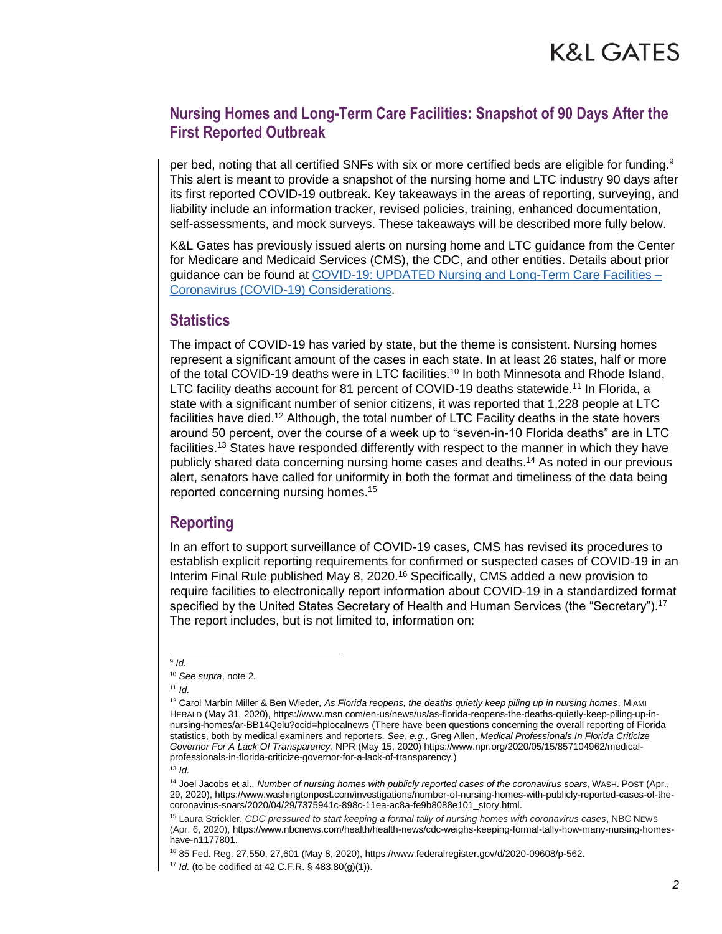per bed, noting that all certified SNFs with six or more certified beds are eligible for funding.<sup>9</sup> This alert is meant to provide a snapshot of the nursing home and LTC industry 90 days after its first reported COVID-19 outbreak. Key takeaways in the areas of reporting, surveying, and liability include an information tracker, revised policies, training, enhanced documentation, self-assessments, and mock surveys. These takeaways will be described more fully below.

K&L Gates has previously issued alerts on nursing home and LTC guidance from the Center for Medicare and Medicaid Services (CMS), the CDC, and other entities. Details about prior guidance can be found at [COVID-19: UPDATED Nursing and Long-Term Care Facilities –](http://www.klgateshub.com/details/?pub=COVID-19-Nursing-and-Long-Term-Care-Facilities--Coronavirus-COVID-19-Considerations-03-17-2020) [Coronavirus \(COVID-19\) Considerations.](http://www.klgateshub.com/details/?pub=COVID-19-Nursing-and-Long-Term-Care-Facilities--Coronavirus-COVID-19-Considerations-03-17-2020)

#### **Statistics**

The impact of COVID-19 has varied by state, but the theme is consistent. Nursing homes represent a significant amount of the cases in each state. In at least 26 states, half or more of the total COVID-19 deaths were in LTC facilities.<sup>10</sup> In both Minnesota and Rhode Island, LTC facility deaths account for 81 percent of COVID-19 deaths statewide.<sup>11</sup> In Florida, a state with a significant number of senior citizens, it was reported that 1,228 people at LTC facilities have died.<sup>12</sup> Although, the total number of LTC Facility deaths in the state hovers around 50 percent, over the course of a week up to "seven-in-10 Florida deaths" are in LTC facilities.<sup>13</sup> States have responded differently with respect to the manner in which they have publicly shared data concerning nursing home cases and deaths.<sup>14</sup> As noted in our previous alert, senators have called for uniformity in both the format and timeliness of the data being reported concerning nursing homes.<sup>15</sup>

### **Reporting**

In an effort to support surveillance of COVID-19 cases, CMS has revised its procedures to establish explicit reporting requirements for confirmed or suspected cases of COVID-19 in an Interim Final Rule published May 8, 2020.<sup>16</sup> Specifically, CMS added a new provision to require facilities to electronically report information about COVID-19 in a standardized format specified by the United States Secretary of Health and Human Services (the "Secretary").<sup>17</sup> The report includes, but is not limited to, information on:

 9 *Id.* 

<sup>10</sup> *See supra*, note 2.

<sup>12</sup> Carol Marbin Miller & Ben Wieder, *As Florida reopens, the deaths quietly keep piling up in nursing homes*, MIAMI HERALD (May 31, 2020), https://www.msn.com/en-us/news/us/as-florida-reopens-the-deaths-quietly-keep-piling-up-innursing-homes/ar-BB14Qelu?ocid=hplocalnews (There have been questions concerning the overall reporting of Florida statistics, both by medical examiners and reporters. *See, e.g.*, Greg Allen, *Medical Professionals In Florida Criticize Governor For A Lack Of Transparency,* NPR (May 15, 2020) https://www.npr.org/2020/05/15/857104962/medicalprofessionals-in-florida-criticize-governor-for-a-lack-of-transparency.)

<sup>13</sup> *Id.*

<sup>14</sup> Joel Jacobs et al., *Number of nursing homes with publicly reported cases of the coronavirus soars*, WASH. POST (Apr., 29, 2020), https://www.washingtonpost.com/investigations/number-of-nursing-homes-with-publicly-reported-cases-of-thecoronavirus-soars/2020/04/29/7375941c-898c-11ea-ac8a-fe9b8088e101\_story.html.

<sup>15</sup> Laura Strickler, *CDC pressured to start keeping a formal tally of nursing homes with coronavirus cases*, NBC NEWS (Apr. 6, 2020), https://www.nbcnews.com/health/health-news/cdc-weighs-keeping-formal-tally-how-many-nursing-homeshave-n1177801.

<sup>16</sup> 85 Fed. Reg. 27,550, 27,601 (May 8, 2020), https://www.federalregister.gov/d/2020-09608/p-562.

<sup>17</sup> *Id.* (to be codified at 42 C.F.R. § 483.80(g)(1)).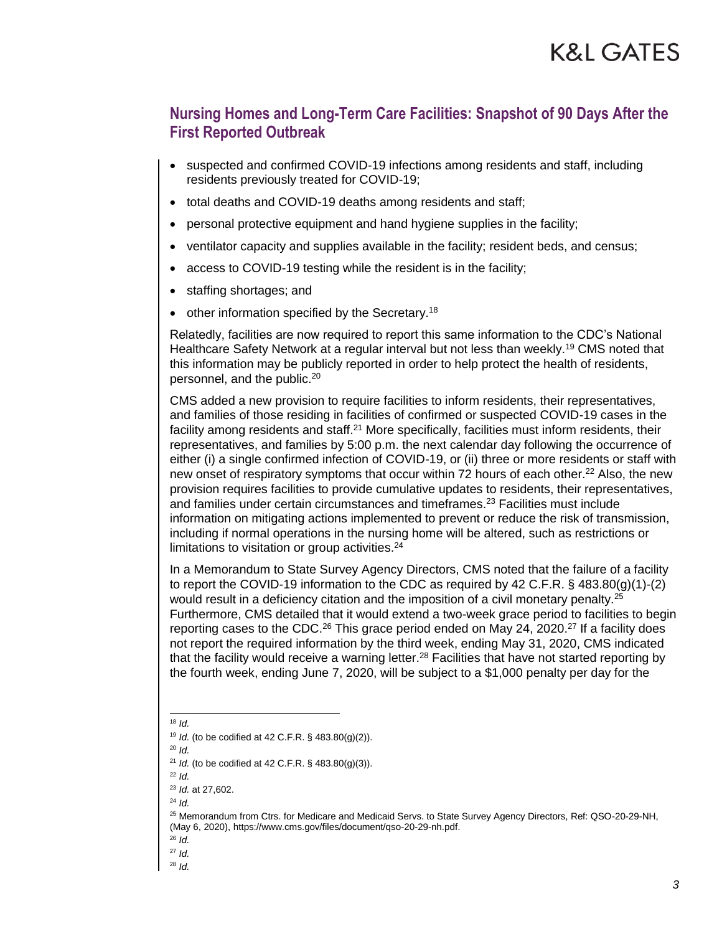- suspected and confirmed COVID-19 infections among residents and staff, including residents previously treated for COVID-19;
- total deaths and COVID-19 deaths among residents and staff;
- personal protective equipment and hand hygiene supplies in the facility;
- ventilator capacity and supplies available in the facility; resident beds, and census;
- access to COVID-19 testing while the resident is in the facility;
- staffing shortages; and
- other information specified by the Secretary.<sup>18</sup>

Relatedly, facilities are now required to report this same information to the CDC's National Healthcare Safety Network at a regular interval but not less than weekly.<sup>19</sup> CMS noted that this information may be publicly reported in order to help protect the health of residents, personnel, and the public.<sup>20</sup>

CMS added a new provision to require facilities to inform residents, their representatives, and families of those residing in facilities of confirmed or suspected COVID-19 cases in the facility among residents and staff.<sup>21</sup> More specifically, facilities must inform residents, their representatives, and families by 5:00 p.m. the next calendar day following the occurrence of either (i) a single confirmed infection of COVID-19, or (ii) three or more residents or staff with new onset of respiratory symptoms that occur within 72 hours of each other.<sup>22</sup> Also, the new provision requires facilities to provide cumulative updates to residents, their representatives, and families under certain circumstances and timeframes.<sup>23</sup> Facilities must include information on mitigating actions implemented to prevent or reduce the risk of transmission, including if normal operations in the nursing home will be altered, such as restrictions or limitations to visitation or group activities.<sup>24</sup>

In a Memorandum to State Survey Agency Directors, CMS noted that the failure of a facility to report the COVID-19 information to the CDC as required by 42 C.F.R. § 483.80(g)(1)-(2) would result in a deficiency citation and the imposition of a civil monetary penalty.<sup>25</sup> Furthermore, CMS detailed that it would extend a two-week grace period to facilities to begin reporting cases to the CDC.<sup>26</sup> This grace period ended on May 24, 2020.<sup>27</sup> If a facility does not report the required information by the third week, ending May 31, 2020, CMS indicated that the facility would receive a warning letter.<sup>28</sup> Facilities that have not started reporting by the fourth week, ending June 7, 2020, will be subject to a \$1,000 penalty per day for the

l

 $18$  *Id.* 

<sup>19</sup> *Id.* (to be codified at 42 C.F.R. § 483.80(g)(2)).

<sup>20</sup> *Id.*

<sup>21</sup> *Id.* (to be codified at 42 C.F.R. § 483.80(g)(3)).

 $22$  *Id.* 

<sup>23</sup> *Id.* at 27,602.

<sup>24</sup> *Id.*

<sup>25</sup> Memorandum from Ctrs. for Medicare and Medicaid Servs. to State Survey Agency Directors, Ref: QSO-20-29-NH, (May 6, 2020), https://www.cms.gov/files/document/qso-20-29-nh.pdf.

<sup>26</sup> *Id.*

<sup>27</sup> *Id.* 

<sup>28</sup> *Id.*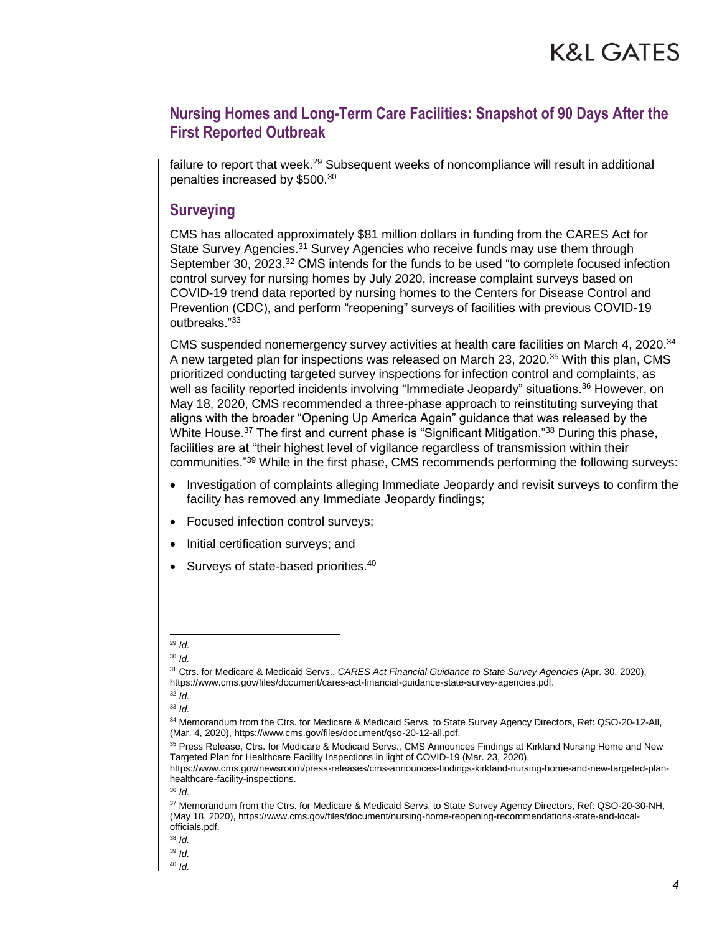failure to report that week.<sup>29</sup> Subsequent weeks of noncompliance will result in additional penalties increased by \$500.<sup>30</sup>

#### **Surveying**

CMS has allocated approximately \$81 million dollars in funding from the CARES Act for State Survey Agencies.<sup>31</sup> Survey Agencies who receive funds may use them through September 30, 2023.<sup>32</sup> CMS intends for the funds to be used "to complete focused infection control survey for nursing homes by July 2020, increase complaint surveys based on COVID-19 trend data reported by nursing homes to the Centers for Disease Control and Prevention (CDC), and perform "reopening" surveys of facilities with previous COVID-19 outbreaks."<sup>33</sup>

CMS suspended nonemergency survey activities at health care facilities on March 4, 2020.<sup>34</sup> A new targeted plan for inspections was released on March 23, 2020.<sup>35</sup> With this plan, CMS prioritized conducting targeted survey inspections for infection control and complaints, as well as facility reported incidents involving "Immediate Jeopardy" situations.<sup>36</sup> However, on May 18, 2020, CMS recommended a three-phase approach to reinstituting surveying that aligns with the broader "Opening Up America Again" guidance that was released by the White House.<sup>37</sup> The first and current phase is "Significant Mitigation."<sup>38</sup> During this phase, facilities are at "their highest level of vigilance regardless of transmission within their communities."<sup>39</sup> While in the first phase, CMS recommends performing the following surveys:

- Investigation of complaints alleging Immediate Jeopardy and revisit surveys to confirm the facility has removed any Immediate Jeopardy findings;
- Focused infection control surveys;
- Initial certification surveys; and
- Surveys of state-based priorities.<sup>40</sup>

l <sup>29</sup> *Id.*

<sup>31</sup> Ctrs. for Medicare & Medicaid Servs., *CARES Act Financial Guidance to State Survey Agencies* (Apr. 30, 2020), https://www.cms.gov/files/document/cares-act-financial-guidance-state-survey-agencies.pdf.

<sup>32</sup> *Id.* 

<sup>33</sup> *Id.* 

<sup>34</sup> Memorandum from the Ctrs. for Medicare & Medicaid Servs. to State Survey Agency Directors, Ref: QSO-20-12-All, (Mar. 4, 2020), https://www.cms.gov/files/document/qso-20-12-all.pdf.

<sup>35</sup> Press Release, Ctrs. for Medicare & Medicaid Servs., CMS Announces Findings at Kirkland Nursing Home and New Targeted Plan for Healthcare Facility Inspections in light of COVID-19 (Mar. 23, 2020),

https://www.cms.gov/newsroom/press-releases/cms-announces-findings-kirkland-nursing-home-and-new-targeted-planhealthcare-facility-inspections.

<sup>36</sup> *Id.*

<sup>37</sup> Memorandum from the Ctrs. for Medicare & Medicaid Servs. to State Survey Agency Directors, Ref: QSO-20-30-NH, (May 18, 2020), https://www.cms.gov/files/document/nursing-home-reopening-recommendations-state-and-localofficials.pdf.

<sup>38</sup> *Id.* 

<sup>39</sup> *Id.*

<sup>40</sup> *Id.*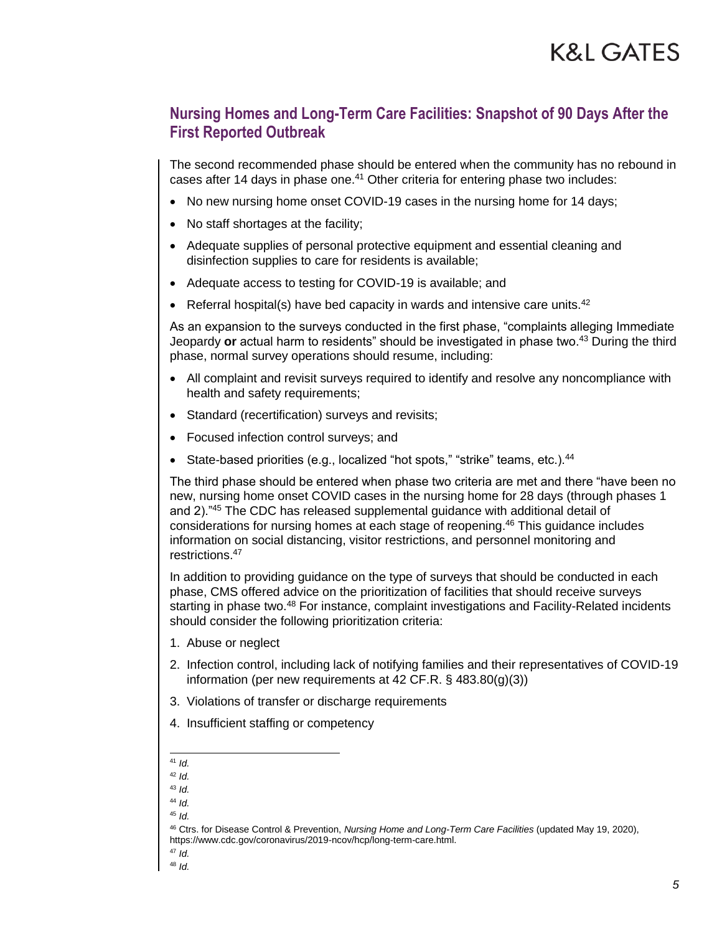The second recommended phase should be entered when the community has no rebound in cases after 14 days in phase one.<sup>41</sup> Other criteria for entering phase two includes:

- No new nursing home onset COVID-19 cases in the nursing home for 14 days;
- No staff shortages at the facility;
- Adequate supplies of personal protective equipment and essential cleaning and disinfection supplies to care for residents is available;
- Adequate access to testing for COVID-19 is available; and
- **•** Referral hospital(s) have bed capacity in wards and intensive care units.<sup>42</sup>

As an expansion to the surveys conducted in the first phase, "complaints alleging Immediate Jeopardy **or** actual harm to residents" should be investigated in phase two.<sup>43</sup> During the third phase, normal survey operations should resume, including:

- All complaint and revisit surveys required to identify and resolve any noncompliance with health and safety requirements;
- Standard (recertification) surveys and revisits;
- Focused infection control surveys; and
- State-based priorities (e.g., localized "hot spots," "strike" teams, etc.).<sup>44</sup>

The third phase should be entered when phase two criteria are met and there "have been no new, nursing home onset COVID cases in the nursing home for 28 days (through phases 1 and 2)."<sup>45</sup> The CDC has released supplemental guidance with additional detail of considerations for nursing homes at each stage of reopening.<sup>46</sup> This guidance includes information on social distancing, visitor restrictions, and personnel monitoring and restrictions.<sup>47</sup>

In addition to providing guidance on the type of surveys that should be conducted in each phase, CMS offered advice on the prioritization of facilities that should receive surveys starting in phase two.<sup>48</sup> For instance, complaint investigations and Facility-Related incidents should consider the following prioritization criteria:

- 1. Abuse or neglect
- 2. Infection control, including lack of notifying families and their representatives of COVID-19 information (per new requirements at 42 CF.R. § 483.80(g)(3))
- 3. Violations of transfer or discharge requirements
- 4. Insufficient staffing or competency

l <sup>41</sup> *Id.*

<sup>42</sup> *Id.*

<sup>43</sup> *Id.* 

<sup>44</sup> *Id.*

<sup>45</sup> *Id.*

<sup>46</sup> Ctrs. for Disease Control & Prevention, *Nursing Home and Long-Term Care Facilities* (updated May 19, 2020), https://www.cdc.gov/coronavirus/2019-ncov/hcp/long-term-care.html.

<sup>47</sup> *Id.* 

<sup>48</sup> *Id.*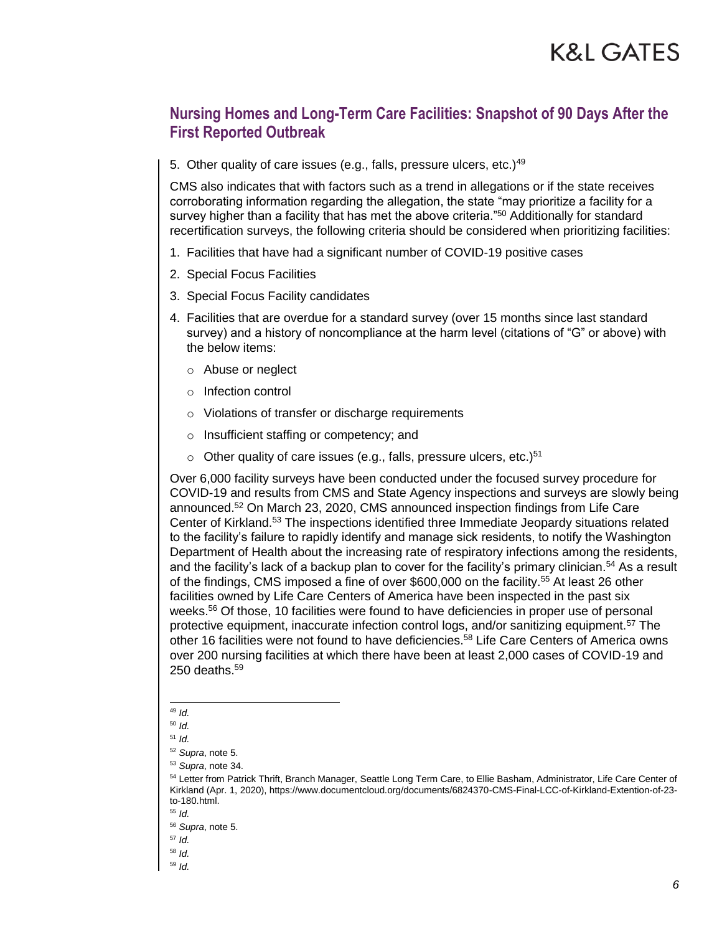5. Other quality of care issues (e.g., falls, pressure ulcers, etc.)<sup>49</sup>

CMS also indicates that with factors such as a trend in allegations or if the state receives corroborating information regarding the allegation, the state "may prioritize a facility for a survey higher than a facility that has met the above criteria."<sup>50</sup> Additionally for standard recertification surveys, the following criteria should be considered when prioritizing facilities:

- 1. Facilities that have had a significant number of COVID-19 positive cases
- 2. Special Focus Facilities
- 3. Special Focus Facility candidates
- 4. Facilities that are overdue for a standard survey (over 15 months since last standard survey) and a history of noncompliance at the harm level (citations of "G" or above) with the below items:
	- o Abuse or neglect
	- o Infection control
	- o Violations of transfer or discharge requirements
	- o Insufficient staffing or competency; and
	- $\circ$  Other quality of care issues (e.g., falls, pressure ulcers, etc.)<sup>51</sup>

Over 6,000 facility surveys have been conducted under the focused survey procedure for COVID-19 and results from CMS and State Agency inspections and surveys are slowly being announced.<sup>52</sup> On March 23, 2020, CMS announced inspection findings from Life Care Center of Kirkland.<sup>53</sup> The inspections identified three Immediate Jeopardy situations related to the facility's failure to rapidly identify and manage sick residents, to notify the Washington Department of Health about the increasing rate of respiratory infections among the residents, and the facility's lack of a backup plan to cover for the facility's primary clinician.<sup>54</sup> As a result of the findings, CMS imposed a fine of over \$600,000 on the facility.<sup>55</sup> At least 26 other facilities owned by Life Care Centers of America have been inspected in the past six weeks.<sup>56</sup> Of those, 10 facilities were found to have deficiencies in proper use of personal protective equipment, inaccurate infection control logs, and/or sanitizing equipment.<sup>57</sup> The other 16 facilities were not found to have deficiencies.<sup>58</sup> Life Care Centers of America owns over 200 nursing facilities at which there have been at least 2,000 cases of COVID-19 and 250 deaths. $59$ 

l <sup>49</sup> *Id.*

<sup>50</sup> *Id.*

<sup>51</sup> *Id.*

<sup>52</sup> *Supra*, note 5.

<sup>53</sup> *Supra*, note 34.

<sup>54</sup> Letter from Patrick Thrift, Branch Manager, Seattle Long Term Care, to Ellie Basham, Administrator, Life Care Center of Kirkland (Apr. 1, 2020), https://www.documentcloud.org/documents/6824370-CMS-Final-LCC-of-Kirkland-Extention-of-23 to-180.html.

<sup>55</sup> *Id.* 

<sup>56</sup> *Supra*, note 5.

<sup>57</sup> *Id.* 

<sup>58</sup> *Id.*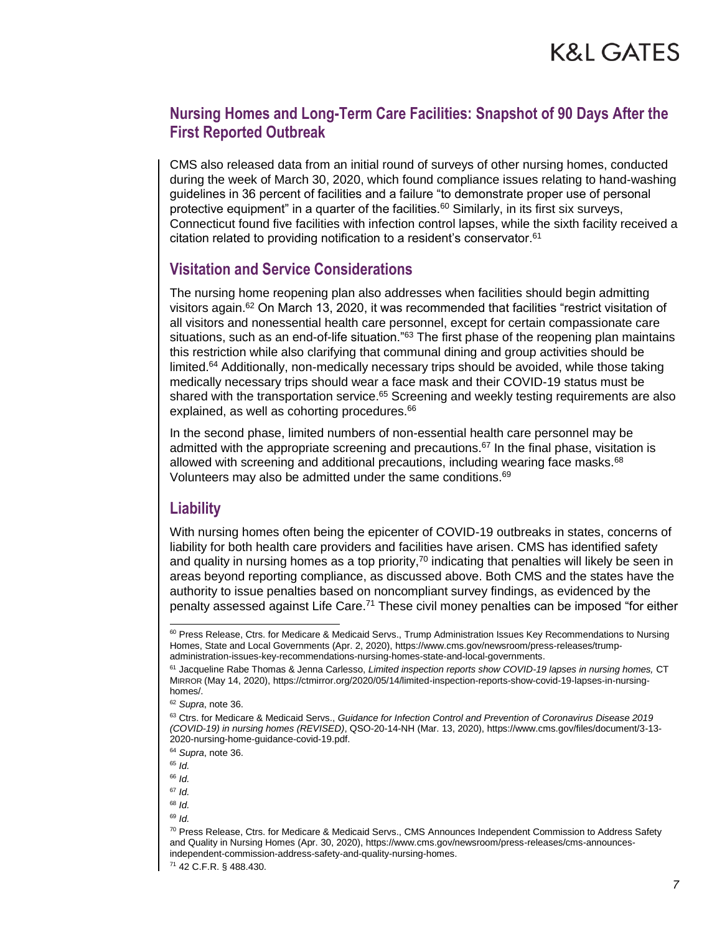CMS also released data from an initial round of surveys of other nursing homes, conducted during the week of March 30, 2020, which found compliance issues relating to hand-washing guidelines in 36 percent of facilities and a failure "to demonstrate proper use of personal protective equipment" in a quarter of the facilities.<sup>60</sup> Similarly, in its first six surveys, Connecticut found five facilities with infection control lapses, while the sixth facility received a citation related to providing notification to a resident's conservator.<sup>61</sup>

### **Visitation and Service Considerations**

The nursing home reopening plan also addresses when facilities should begin admitting visitors again.<sup>62</sup> On March 13, 2020, it was recommended that facilities "restrict visitation of all visitors and nonessential health care personnel, except for certain compassionate care situations, such as an end-of-life situation."<sup>63</sup> The first phase of the reopening plan maintains this restriction while also clarifying that communal dining and group activities should be limited.<sup>64</sup> Additionally, non-medically necessary trips should be avoided, while those taking medically necessary trips should wear a face mask and their COVID-19 status must be shared with the transportation service.<sup>65</sup> Screening and weekly testing requirements are also explained, as well as cohorting procedures.<sup>66</sup>

In the second phase, limited numbers of non-essential health care personnel may be admitted with the appropriate screening and precautions.<sup>67</sup> In the final phase, visitation is allowed with screening and additional precautions, including wearing face masks. $68$ Volunteers may also be admitted under the same conditions.<sup>69</sup>

#### **Liability**

With nursing homes often being the epicenter of COVID-19 outbreaks in states, concerns of liability for both health care providers and facilities have arisen. CMS has identified safety and quality in nursing homes as a top priority, $70$  indicating that penalties will likely be seen in areas beyond reporting compliance, as discussed above. Both CMS and the states have the authority to issue penalties based on noncompliant survey findings, as evidenced by the penalty assessed against Life Care.<sup>71</sup> These civil money penalties can be imposed "for either

l

<sup>60</sup> Press Release, Ctrs. for Medicare & Medicaid Servs., Trump Administration Issues Key Recommendations to Nursing Homes, State and Local Governments (Apr. 2, 2020), https://www.cms.gov/newsroom/press-releases/trumpadministration-issues-key-recommendations-nursing-homes-state-and-local-governments.

<sup>61</sup> Jacqueline Rabe Thomas & Jenna Carlesso, *Limited inspection reports show COVID-19 lapses in nursing homes,* CT MIRROR (May 14, 2020), https://ctmirror.org/2020/05/14/limited-inspection-reports-show-covid-19-lapses-in-nursinghomes/.

<sup>62</sup> *Supra*, note 36.

<sup>63</sup> Ctrs. for Medicare & Medicaid Servs., *Guidance for Infection Control and Prevention of Coronavirus Disease 2019 (COVID-19) in nursing homes (REVISED)*, QSO-20-14-NH (Mar. 13, 2020), https://www.cms.gov/files/document/3-13- 2020-nursing-home-guidance-covid-19.pdf.

<sup>64</sup> *Supra*, note 36.

<sup>65</sup> *Id.*

<sup>66</sup> *Id.* 

<sup>67</sup> *Id.* 

<sup>68</sup> *Id.* 

<sup>70</sup> Press Release, Ctrs. for Medicare & Medicaid Servs., CMS Announces Independent Commission to Address Safety and Quality in Nursing Homes (Apr. 30, 2020), https://www.cms.gov/newsroom/press-releases/cms-announcesindependent-commission-address-safety-and-quality-nursing-homes.

<sup>71</sup> 42 C.F.R. § 488.430.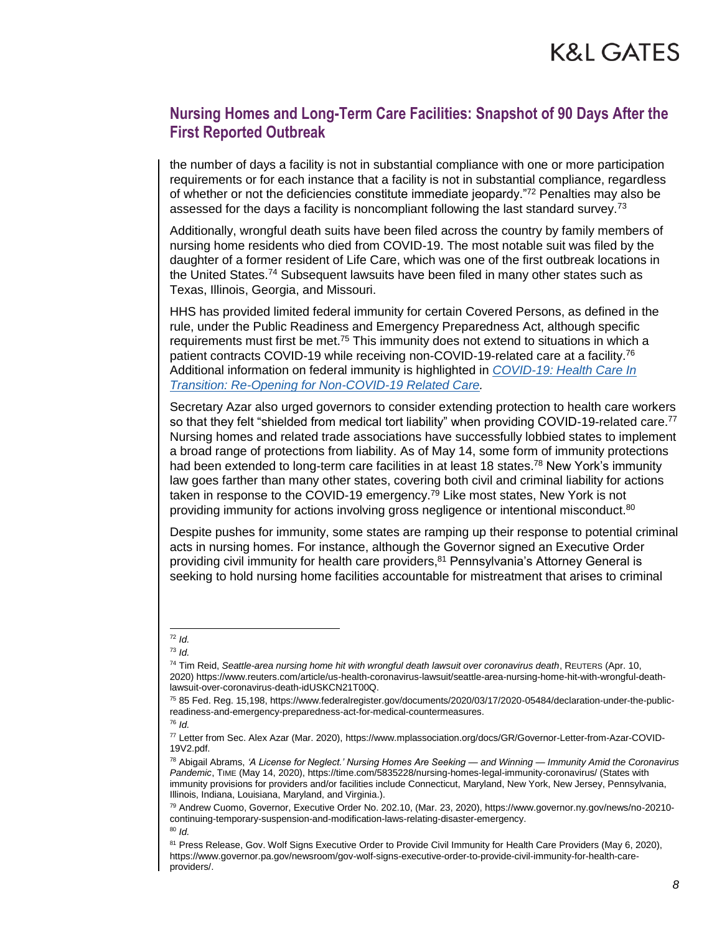the number of days a facility is not in substantial compliance with one or more participation requirements or for each instance that a facility is not in substantial compliance, regardless of whether or not the deficiencies constitute immediate jeopardy."<sup>72</sup> Penalties may also be assessed for the days a facility is noncompliant following the last standard survey.<sup>73</sup>

Additionally, wrongful death suits have been filed across the country by family members of nursing home residents who died from COVID-19. The most notable suit was filed by the daughter of a former resident of Life Care, which was one of the first outbreak locations in the United States.<sup>74</sup> Subsequent lawsuits have been filed in many other states such as Texas, Illinois, Georgia, and Missouri.

HHS has provided limited federal immunity for certain Covered Persons, as defined in the rule, under the Public Readiness and Emergency Preparedness Act, although specific requirements must first be met.<sup>75</sup> This immunity does not extend to situations in which a patient contracts COVID-19 while receiving non-COVID-19-related care at a facility.<sup>76</sup> Additional information on federal immunity is highlighted in *[COVID-19: Health Care In](http://www.klgateshub.com/details/?pub=COVID-19-Health-Care-In-Transition-Re-Ppening-for-Non-COVID-19-Related-Care-05-08-2020)  [Transition: Re-Opening for Non-COVID-19 Related Care.](http://www.klgateshub.com/details/?pub=COVID-19-Health-Care-In-Transition-Re-Ppening-for-Non-COVID-19-Related-Care-05-08-2020)*

Secretary Azar also urged governors to consider extending protection to health care workers so that they felt "shielded from medical tort liability" when providing COVID-19-related care.<sup>77</sup> Nursing homes and related trade associations have successfully lobbied states to implement a broad range of protections from liability. As of May 14, some form of immunity protections had been extended to long-term care facilities in at least 18 states.<sup>78</sup> New York's immunity law goes farther than many other states, covering both civil and criminal liability for actions taken in response to the COVID-19 emergency.<sup>79</sup> Like most states, New York is not providing immunity for actions involving gross negligence or intentional misconduct.<sup>80</sup>

Despite pushes for immunity, some states are ramping up their response to potential criminal acts in nursing homes. For instance, although the Governor signed an Executive Order providing civil immunity for health care providers,<sup>81</sup> Pennsylvania's Attorney General is seeking to hold nursing home facilities accountable for mistreatment that arises to criminal

l <sup>72</sup> *Id.* 

<sup>73</sup> *Id.*

<sup>74</sup> Tim Reid, *Seattle-area nursing home hit with wrongful death lawsuit over coronavirus death*, REUTERS (Apr. 10, 2020) https://www.reuters.com/article/us-health-coronavirus-lawsuit/seattle-area-nursing-home-hit-with-wrongful-deathlawsuit-over-coronavirus-death-idUSKCN21T00Q.

<sup>75</sup> 85 Fed. Reg. 15,198, https://www.federalregister.gov/documents/2020/03/17/2020-05484/declaration-under-the-publicreadiness-and-emergency-preparedness-act-for-medical-countermeasures.

<sup>76</sup> *Id.* 

<sup>77</sup> Letter from Sec. Alex Azar (Mar. 2020), https://www.mplassociation.org/docs/GR/Governor-Letter-from-Azar-COVID-19V2.pdf.

<sup>78</sup> Abigail Abrams, *'A License for Neglect.' Nursing Homes Are Seeking — and Winning — Immunity Amid the Coronavirus Pandemic*, TIME (May 14, 2020), https://time.com/5835228/nursing-homes-legal-immunity-coronavirus/ (States with immunity provisions for providers and/or facilities include Connecticut, Maryland, New York, New Jersey, Pennsylvania, Illinois, Indiana, Louisiana, Maryland, and Virginia.).

<sup>79</sup> Andrew Cuomo, Governor, Executive Order No. 202.10, (Mar. 23, 2020), https://www.governor.ny.gov/news/no-20210 continuing-temporary-suspension-and-modification-laws-relating-disaster-emergency. <sup>80</sup> *Id.*

<sup>81</sup> Press Release, Gov. Wolf Signs Executive Order to Provide Civil Immunity for Health Care Providers (May 6, 2020), https://www.governor.pa.gov/newsroom/gov-wolf-signs-executive-order-to-provide-civil-immunity-for-health-careproviders/.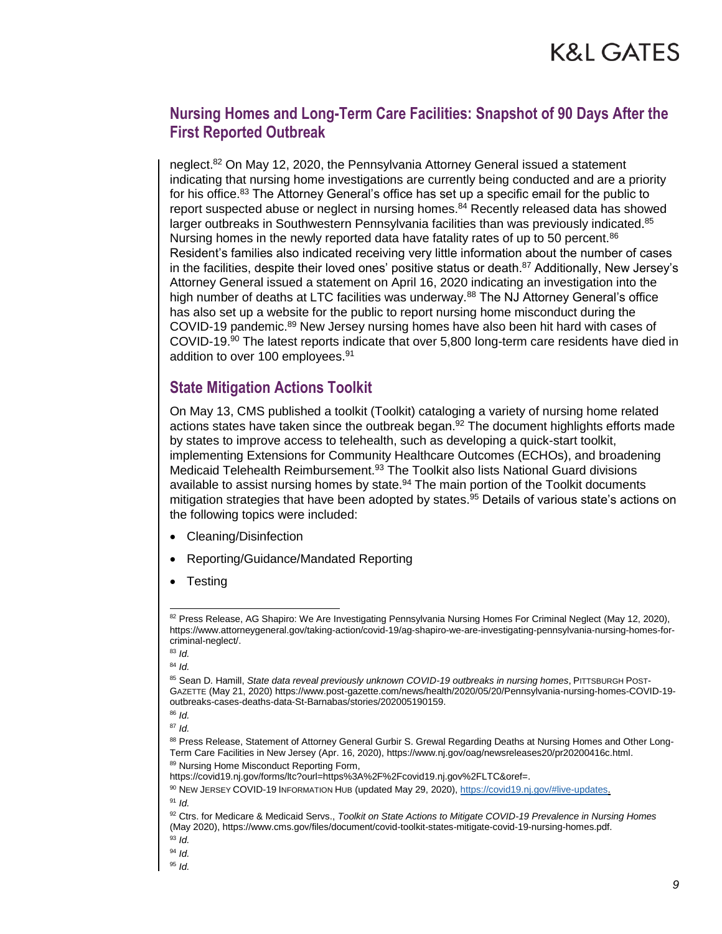neglect.<sup>82</sup> On May 12, 2020, the Pennsylvania Attorney General issued a statement indicating that nursing home investigations are currently being conducted and are a priority for his office.<sup>83</sup> The Attorney General's office has set up a specific email for the public to report suspected abuse or neglect in nursing homes.<sup>84</sup> Recently released data has showed larger outbreaks in Southwestern Pennsylvania facilities than was previously indicated.<sup>85</sup> Nursing homes in the newly reported data have fatality rates of up to 50 percent.<sup>86</sup> Resident's families also indicated receiving very little information about the number of cases in the facilities, despite their loved ones' positive status or death.<sup>87</sup> Additionally, New Jersey's Attorney General issued a statement on April 16, 2020 indicating an investigation into the high number of deaths at LTC facilities was underway.<sup>88</sup> The NJ Attorney General's office has also set up a website for the public to report nursing home misconduct during the COVID-19 pandemic.<sup>89</sup> New Jersey nursing homes have also been hit hard with cases of COVID-19.<sup>90</sup> The latest reports indicate that over 5,800 long-term care residents have died in addition to over 100 employees.<sup>91</sup>

#### **State Mitigation Actions Toolkit**

On May 13, CMS published a toolkit (Toolkit) cataloging a variety of nursing home related actions states have taken since the outbreak began. $92$  The document highlights efforts made by states to improve access to telehealth, such as developing a quick-start toolkit, implementing Extensions for Community Healthcare Outcomes (ECHOs), and broadening Medicaid Telehealth Reimbursement.<sup>93</sup> The Toolkit also lists National Guard divisions available to assist nursing homes by state.<sup>94</sup> The main portion of the Toolkit documents mitigation strategies that have been adopted by states.<sup>95</sup> Details of various state's actions on the following topics were included:

- Cleaning/Disinfection
- Reporting/Guidance/Mandated Reporting
- **Testing**

l

<sup>82</sup> Press Release, AG Shapiro: We Are Investigating Pennsylvania Nursing Homes For Criminal Neglect (May 12, 2020), https://www.attorneygeneral.gov/taking-action/covid-19/ag-shapiro-we-are-investigating-pennsylvania-nursing-homes-forcriminal-neglect/.

<sup>83</sup> *Id.* 

<sup>85</sup> Sean D. Hamill, *State data reveal previously unknown COVID-19 outbreaks in nursing homes*, PITTSBURGH POST-GAZETTE (May 21, 2020) https://www.post-gazette.com/news/health/2020/05/20/Pennsylvania-nursing-homes-COVID-19 outbreaks-cases-deaths-data-St-Barnabas/stories/202005190159.

<sup>86</sup> *Id.* 

<sup>87</sup> *Id.* 

<sup>88</sup> Press Release, Statement of Attorney General Gurbir S. Grewal Regarding Deaths at Nursing Homes and Other Long-Term Care Facilities in New Jersey (Apr. 16, 2020), https://www.nj.gov/oag/newsreleases20/pr20200416c.html. 89 Nursing Home Misconduct Reporting Form,

https://covid19.nj.gov/forms/ltc?ourl=https%3A%2F%2Fcovid19.nj.gov%2FLTC&oref=.

<sup>90</sup> NEW JERSEY COVID-19 INFORMATION HUB (updated May 29, 2020)[, https://covid19.nj.gov/#live-updates.](https://covid19.nj.gov/#live-updates.) <sup>91</sup> *Id.*

<sup>92</sup> Ctrs. for Medicare & Medicaid Servs., *Toolkit on State Actions to Mitigate COVID-19 Prevalence in Nursing Homes* (May 2020), https://www.cms.gov/files/document/covid-toolkit-states-mitigate-covid-19-nursing-homes.pdf.

<sup>93</sup> *Id.*

<sup>94</sup> *Id.*

<sup>95</sup> *Id.*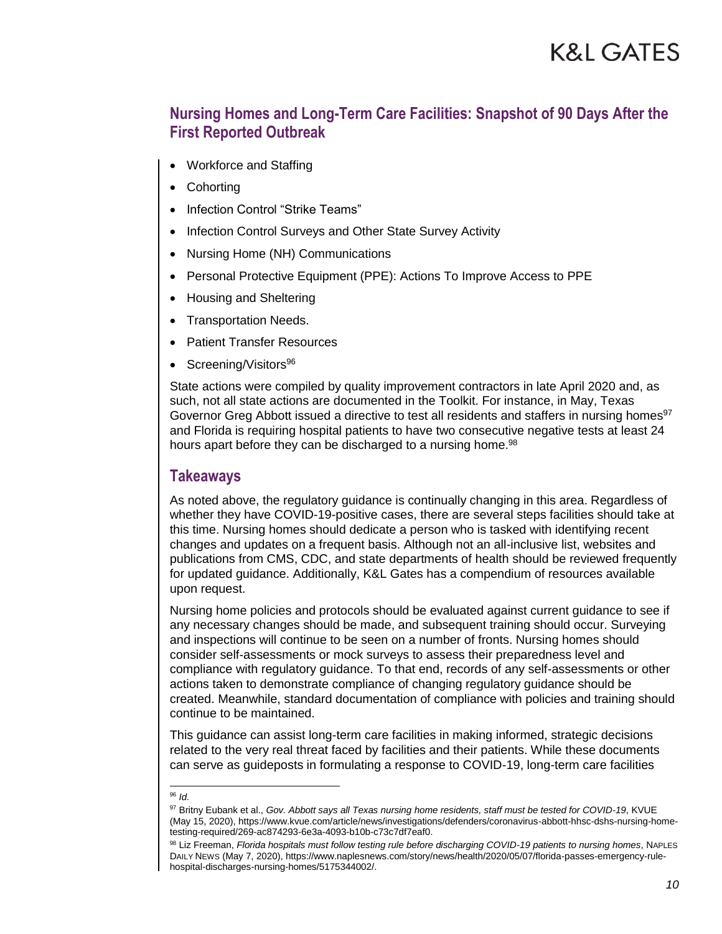- Workforce and Staffing
- **Cohorting**
- Infection Control "Strike Teams"
- Infection Control Surveys and Other State Survey Activity
- Nursing Home (NH) Communications
- Personal Protective Equipment (PPE): Actions To Improve Access to PPE
- Housing and Sheltering
- Transportation Needs.
- Patient Transfer Resources
- Screening/Visitors<sup>96</sup>

State actions were compiled by quality improvement contractors in late April 2020 and, as such, not all state actions are documented in the Toolkit. For instance, in May, Texas Governor Greg Abbott issued a directive to test all residents and staffers in nursing homes<sup>97</sup> and Florida is requiring hospital patients to have two consecutive negative tests at least 24 hours apart before they can be discharged to a nursing home.<sup>98</sup>

#### **Takeaways**

As noted above, the regulatory guidance is continually changing in this area. Regardless of whether they have COVID-19-positive cases, there are several steps facilities should take at this time. Nursing homes should dedicate a person who is tasked with identifying recent changes and updates on a frequent basis. Although not an all-inclusive list, websites and publications from CMS, CDC, and state departments of health should be reviewed frequently for updated guidance. Additionally, K&L Gates has a compendium of resources available upon request.

Nursing home policies and protocols should be evaluated against current guidance to see if any necessary changes should be made, and subsequent training should occur. Surveying and inspections will continue to be seen on a number of fronts. Nursing homes should consider self-assessments or mock surveys to assess their preparedness level and compliance with regulatory guidance. To that end, records of any self-assessments or other actions taken to demonstrate compliance of changing regulatory guidance should be created. Meanwhile, standard documentation of compliance with policies and training should continue to be maintained.

This guidance can assist long-term care facilities in making informed, strategic decisions related to the very real threat faced by facilities and their patients. While these documents can serve as guideposts in formulating a response to COVID-19, long-term care facilities

l <sup>96</sup> *Id.* 

<sup>97</sup> Britny Eubank et al., *Gov. Abbott says all Texas nursing home residents, staff must be tested for COVID-19*, KVUE (May 15, 2020), https://www.kvue.com/article/news/investigations/defenders/coronavirus-abbott-hhsc-dshs-nursing-hometesting-required/269-ac874293-6e3a-4093-b10b-c73c7df7eaf0.

<sup>98</sup> Liz Freeman, *Florida hospitals must follow testing rule before discharging COVID-19 patients to nursing homes*, NAPLES DAILY NEWS (May 7, 2020), https://www.naplesnews.com/story/news/health/2020/05/07/florida-passes-emergency-rulehospital-discharges-nursing-homes/5175344002/.